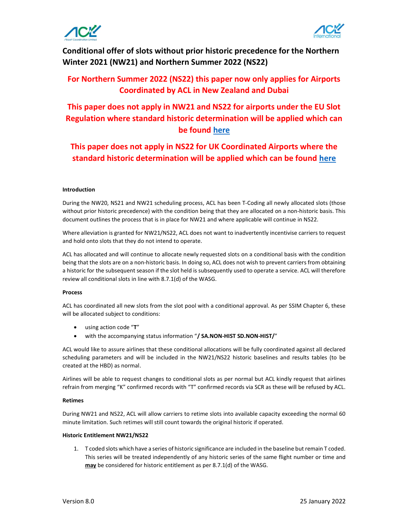



Conditional offer of slots without prior historic precedence for the Northern Winter 2021 (NW21) and Northern Summer 2022 (NS22)

## For Northern Summer 2022 (NS22) this paper now only applies for Airports Coordinated by ACL in New Zealand and Dubai

# This paper does not apply in NW21 and NS22 for airports under the EU Slot Regulation where standard historic determination will be applied which can be found here

## This paper does not apply in NS22 for UK Coordinated Airports where the standard historic determination will be applied which can be found here

#### Introduction

During the NW20, NS21 and NW21 scheduling process, ACL has been T-Coding all newly allocated slots (those without prior historic precedence) with the condition being that they are allocated on a non-historic basis. This document outlines the process that is in place for NW21 and where applicable will continue in NS22.

Where alleviation is granted for NW21/NS22, ACL does not want to inadvertently incentivise carriers to request and hold onto slots that they do not intend to operate.

ACL has allocated and will continue to allocate newly requested slots on a conditional basis with the condition being that the slots are on a non-historic basis. In doing so, ACL does not wish to prevent carriers from obtaining a historic for the subsequent season if the slot held is subsequently used to operate a service. ACL will therefore review all conditional slots in line with 8.7.1(d) of the WASG.

#### Process

ACL has coordinated all new slots from the slot pool with a conditional approval. As per SSIM Chapter 6, these will be allocated subject to conditions:

- using action code "T"
- with the accompanying status information "/ SA.NON-HIST SD.NON-HIST/"

ACL would like to assure airlines that these conditional allocations will be fully coordinated against all declared scheduling parameters and will be included in the NW21/NS22 historic baselines and results tables (to be created at the HBD) as normal.

Airlines will be able to request changes to conditional slots as per normal but ACL kindly request that airlines refrain from merging "K" confirmed records with "T" confirmed records via SCR as these will be refused by ACL.

#### Retimes

During NW21 and NS22, ACL will allow carriers to retime slots into available capacity exceeding the normal 60 minute limitation. Such retimes will still count towards the original historic if operated.

#### Historic Entitlement NW21/NS22

1. T coded slots which have a series of historic significance are included in the baseline but remain T coded. This series will be treated independently of any historic series of the same flight number or time and may be considered for historic entitlement as per 8.7.1(d) of the WASG.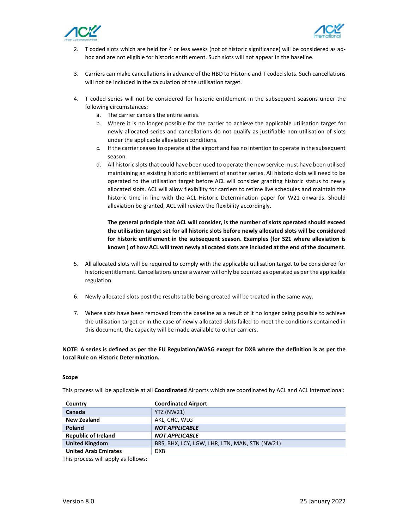



- 2. T coded slots which are held for 4 or less weeks (not of historic significance) will be considered as adhoc and are not eligible for historic entitlement. Such slots will not appear in the baseline.
- 3. Carriers can make cancellations in advance of the HBD to Historic and T coded slots. Such cancellations will not be included in the calculation of the utilisation target.
- 4. T coded series will not be considered for historic entitlement in the subsequent seasons under the following circumstances:
	- a. The carrier cancels the entire series.
	- b. Where it is no longer possible for the carrier to achieve the applicable utilisation target for newly allocated series and cancellations do not qualify as justifiable non-utilisation of slots under the applicable alleviation conditions.
	- c. If the carrier ceases to operate at the airport and has no intention to operate in the subsequent season.
	- d. All historic slots that could have been used to operate the new service must have been utilised maintaining an existing historic entitlement of another series. All historic slots will need to be operated to the utilisation target before ACL will consider granting historic status to newly allocated slots. ACL will allow flexibility for carriers to retime live schedules and maintain the historic time in line with the ACL Historic Determination paper for W21 onwards. Should alleviation be granted, ACL will review the flexibility accordingly.

The general principle that ACL will consider, is the number of slots operated should exceed the utilisation target set for all historic slots before newly allocated slots will be considered for historic entitlement in the subsequent season. Examples (for S21 where alleviation is known ) of how ACL will treat newly allocated slots are included at the end of the document.

- 5. All allocated slots will be required to comply with the applicable utilisation target to be considered for historic entitlement. Cancellations under a waiver will only be counted as operated as per the applicable regulation.
- 6. Newly allocated slots post the results table being created will be treated in the same way.
- 7. Where slots have been removed from the baseline as a result of it no longer being possible to achieve the utilisation target or in the case of newly allocated slots failed to meet the conditions contained in this document, the capacity will be made available to other carriers.

NOTE: A series is defined as per the EU Regulation/WASG except for DXB where the definition is as per the Local Rule on Historic Determination.

#### Scope

This process will be applicable at all **Coordinated** Airports which are coordinated by ACL and ACL International:

| Country                     | <b>Coordinated Airport</b>                    |
|-----------------------------|-----------------------------------------------|
| Canada                      | <b>YTZ (NW21)</b>                             |
| <b>New Zealand</b>          | AKL, CHC, WLG                                 |
| Poland                      | <b>NOT APPLICABLE</b>                         |
| <b>Republic of Ireland</b>  | <b>NOT APPLICABLE</b>                         |
| <b>United Kingdom</b>       | BRS, BHX, LCY, LGW, LHR, LTN, MAN, STN (NW21) |
| <b>United Arab Emirates</b> | <b>DXB</b>                                    |

This process will apply as follows: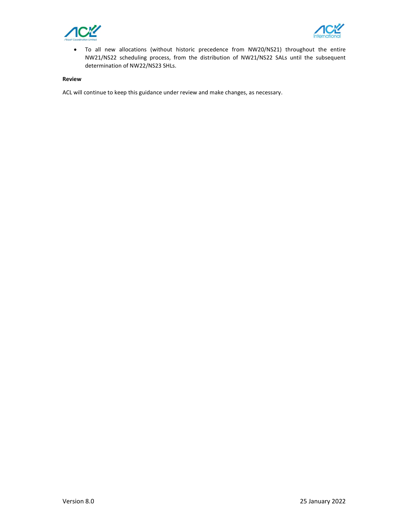



 To all new allocations (without historic precedence from NW20/NS21) throughout the entire NW21/NS22 scheduling process, from the distribution of NW21/NS22 SALs until the subsequent determination of NW22/NS23 SHLs.

#### Review

ACL will continue to keep this guidance under review and make changes, as necessary.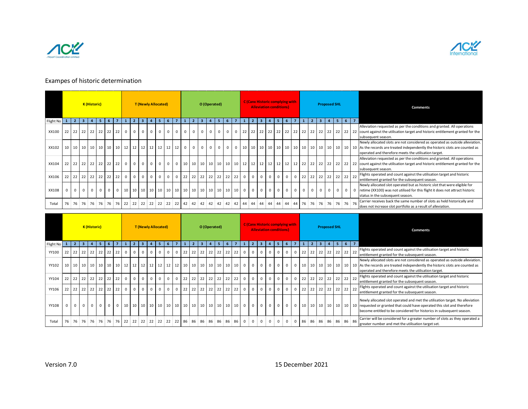



### Exampes of historic determination

| Exampes of historic determination |              |                   |                         |                     |             |             |                        |                     |                         |                 |              |                            |                |                                                   |                |                |                                         |              |                |                                   |              |             |                             |                                     |                |                         |                                        |                     |                |                                               |             |                     |   |                                      |             |                                                                                                                                                                                                                               |
|-----------------------------------|--------------|-------------------|-------------------------|---------------------|-------------|-------------|------------------------|---------------------|-------------------------|-----------------|--------------|----------------------------|----------------|---------------------------------------------------|----------------|----------------|-----------------------------------------|--------------|----------------|-----------------------------------|--------------|-------------|-----------------------------|-------------------------------------|----------------|-------------------------|----------------------------------------|---------------------|----------------|-----------------------------------------------|-------------|---------------------|---|--------------------------------------|-------------|-------------------------------------------------------------------------------------------------------------------------------------------------------------------------------------------------------------------------------|
|                                   |              |                   |                         | K (Historic)        |             |             |                        |                     |                         |                 |              | <b>T</b> (Newly Allocated) |                |                                                   |                |                |                                         |              | O (Operated)   |                                   |              |             |                             | <b>Alleviation conditions)</b>      |                |                         | <b>C (Canx Historic complying with</b> |                     |                |                                               |             | <b>Proposed SHL</b> |   |                                      |             | Comments                                                                                                                                                                                                                      |
| Flight No 1                       |              | $\overline{2}$    | $\overline{\mathbf{3}}$ |                     |             |             |                        | $\mathbf{1}$        | $\overline{2}$          |                 |              |                            |                |                                                   |                | $\mathbf{1}$   | $\overline{2}$                          | в            | $\overline{a}$ | 5                                 |              |             |                             |                                     |                |                         |                                        |                     |                | $\overline{2}$                                |             |                     | 5 | $6 \mid 7$                           |             | Alleviation requested as per the conditions and granted. All operations                                                                                                                                                       |
| XX100                             | 22           |                   |                         | 22 22 22 22         |             |             | $22 \mid 22$           | $\mathbf 0$         | $\mathbf 0$             |                 | $\mathbf{0}$ | $\mathsf 0$                | $^{\circ}$     | $\mathsf{o}$                                      | $\overline{0}$ | $\overline{0}$ | $\mathbf 0$                             | $\mathbf{0}$ | $\mathsf{o}$   | $\overline{0}$                    | $\mathbf 0$  | $\mathbf 0$ | 22                          | 22                                  | 22 22 22       |                         | 22                                     | 22                  |                | $22$ 22                                       | 22          |                     |   | 22 22 22 22                          |             | count against the utilisation target and historic entitlement granted for the                                                                                                                                                 |
| XX102                             |              | $10 \mid 10 \mid$ |                         | $10 \mid 10 \mid$   | 10          |             | 10 10                  |                     | $12 \mid 12 \mid$       |                 | 12           | $12 \mid 12 \mid$          |                | 12                                                | 12             | $\mathbf 0$    | $\mathbf 0$                             | $\mathbf 0$  | $\mathsf{o}$   | $\overline{0}$                    | $\mathbf 0$  | $\mathbf 0$ | 10 <sup>1</sup>             | 10 <sup>10</sup>                    | 10 10 10       |                         | 10                                     | 10                  |                | $10 \mid 10$                                  |             |                     |   | 10 10 10 10 10                       |             | subsequent season.<br>Newly allocated slots are not considered as operated as outside alleviation.<br>As the records are treated independently the historic slots are counted as                                              |
| XX104                             |              |                   |                         | 22 22 22 22 22      |             |             | 22 22                  | $\mathbf 0$         | $\mathbf{0}$            |                 | $\mathbf{0}$ | $\mathbf 0$                | $\mathbf{0}$   | $\mathbf 0$                                       |                |                | $0 \quad 10 \quad 10 \quad 10 \quad 10$ |              |                | $10 \mid 10 \mid 10 \mid 12 \mid$ |              |             |                             | 12                                  |                |                         | $12$ 12 12 12                          | 12                  |                | $22 \mid 22$                                  |             |                     |   | 22 22 22 22 22                       |             | operated and therefore meets the utilisation target.<br>Alleviation requested as per the conditions and granted. All operations<br>count against the utilisation target and historic entitlement granted for the              |
| XX106                             | 22           |                   | $22 \mid 22 \mid$       | 22                  | 22          | 22          | 22                     | $\mathsf 0$         | $\overline{\mathbf{0}}$ |                 | $\mathbf 0$  | $\mathbf 0$                | $\mathbf 0$    | $\mathsf{O}\xspace$                               | $\mathbf 0$    | 22             |                                         | $22$ 22 22   |                | $22 \mid 22$                      |              | 22          | $\mathsf 0$<br>$\mathbf{0}$ | $\overline{0}$                      | $\mathsf 0$    | $\mathbf 0$             | $\mathbf{0}$                           | $\mathbf 0$         | 22             | 22                                            | 22          | 22                  |   | $22$ 22 22                           |             | subsequent season.<br>Flights operated and count against the utilisation target and historic                                                                                                                                  |
| XX108                             | $\mathsf{o}$ | 0                 | 0                       | $\mathbf 0$         | $\mathbf 0$ | $\mathbf 0$ | $\mathbf{0}$           |                     |                         |                 |              |                            |                | $10 \mid 10 \mid 10 \mid 10 \mid 10 \mid 10 \mid$ |                |                | 10 10 10 10 10 10 10 10 10              |              |                |                                   |              |             | $\overline{0}$              | $\mathbf{0}$<br>$\mathbf 0$         | $\mathbf 0$    | $\overline{\mathbf{0}}$ | 0                                      | $\mathbf 0$         | 0 <sup>1</sup> | $\mathbf{0}$                                  | $\mathbf 0$ | $0$ 0               |   | $\overline{0}$                       | $\mathbf 0$ | entitlement granted for the subsequent season.<br>Newly allocated slot operated but as historic slot that were eligible for<br>retime (XX100) was not utilised for this flight it does not attract historic                   |
| Total                             |              |                   |                         |                     |             |             |                        |                     |                         |                 |              |                            |                |                                                   |                |                |                                         |              |                |                                   |              |             |                             |                                     |                |                         |                                        |                     |                | 76 76 76 76 76 76 76                          |             |                     |   |                                      |             | status in the subsequent season.<br>Carrier receives back the same number of slots as held historically and                                                                                                                   |
|                                   |              |                   |                         |                     |             |             |                        |                     |                         |                 |              |                            |                |                                                   |                |                |                                         |              |                |                                   |              |             |                             |                                     |                |                         |                                        |                     |                |                                               |             |                     |   |                                      |             | does not increase slot portfolio as a result of alleviation.                                                                                                                                                                  |
|                                   |              |                   |                         | <b>K</b> (Historic) |             |             |                        |                     |                         |                 |              | <b>T (Newly Allocated)</b> |                |                                                   |                |                |                                         |              | O (Operated)   |                                   |              |             |                             | <b>Alleviation conditions)</b>      |                |                         | <b>C (Canx Historic complying with</b> |                     |                |                                               |             | <b>Proposed SHL</b> |   |                                      |             | <b>Comments</b>                                                                                                                                                                                                               |
|                                   |              |                   |                         |                     |             |             | $6 \mid 7 \mid 1 \mid$ |                     |                         | $2 \mid 3$      |              | $\overline{4}$             |                | 56                                                |                |                | 7 1 2 3 4                               |              |                | $5 \mid 6 \mid$                   |              |             | 7 1 2                       | 3 <sup>1</sup>                      | 4              |                         | $5 \mid 6 \mid$                        | 7 <sup>7</sup>      |                | $1 \mid 2 \mid 3 \mid 4 \mid 5 \mid 6 \mid 7$ |             |                     |   |                                      |             | Flights operated and count against the utilisation target and historic                                                                                                                                                        |
| YY100                             |              |                   |                         | 22 22 22 22 22      |             |             | 22 22                  | $\mathsf 0$         | $\overline{0}$          |                 | $\mathbf{0}$ | $\mathbf 0$                | $\mathbf 0$    | $\mathsf 0$                                       |                |                | 0 22 22 22 22 22 22 22                  |              |                |                                   |              |             | $\mathbf{0}$                | $\mathsf 0$<br>$\overline{0}$       | $\mathbf 0$    | $\mathbf 0$             | 0                                      | $\mathsf{O}\xspace$ |                | $22$ 22                                       |             |                     |   | 22 22 22 22 22                       |             | entitlement granted for the subsequent season.<br>Newly allocated slots are not considered as operated as outside alleviation.                                                                                                |
| YY102                             |              |                   |                         |                     |             |             |                        |                     |                         |                 |              |                            |                |                                                   |                |                |                                         |              |                |                                   |              |             | $\circ$                     | $\overline{0}$<br>$\mathsf 0$       | $\overline{0}$ | $\overline{\mathbf{0}}$ | 0                                      | $\mathbf 0$         |                | 10 10 10 10 10 10 10 10                       |             |                     |   |                                      |             | As the records are treated independently the historic slots are counted as<br>operated and therefore meets the utilisation target.                                                                                            |
| YY104                             |              |                   |                         |                     |             |             | 22 22 22 22 22 22 22 0 |                     | $\overline{0}$          |                 | $\mathbf{0}$ | 0                          | $\overline{0}$ | $\mathbf 0$                                       |                |                | $0$ 22 22 22 22 22 22 22 22             |              |                |                                   |              |             | $\circ$                     | $\mathsf{O}\xspace$<br>$\mathbf{0}$ | $\overline{0}$ | $\mathbf 0$             | $\overline{0}$                         | $\mathsf 0$         |                | 22 22 22 22 22 22 22                          |             |                     |   |                                      |             | Flights operated and count against the utilisation target and historic<br>entitlement granted for the subsequent season.                                                                                                      |
| YY106                             |              |                   |                         | 22 22 22 22 22      |             |             | 22 22                  | $\mathsf{O}\xspace$ | $\mathbf 0$             |                 | $\mathbf 0$  | $\mathbf 0$                | $\mathbf{0}$   | $\mathsf 0$                                       | $\mathbf 0$    |                | 22 22 22 22                             |              |                | $22 \mid 22 \mid 22$              |              |             | $\mathbf{0}$                | $\mathsf 0$<br>$\overline{0}$       | $\mathbf 0$    | $\mathbf 0$             | $\mathbf{0}$                           | $\mathsf 0$         |                | $22$ 22                                       |             | $22$ 22             |   | 22 22 22                             |             | Flights operated and count against the utilisation target and historic<br>entitlement granted for the subsequent season.                                                                                                      |
|                                   | $\mathbf 0$  | $\overline{0}$    | $\mathsf{O}\xspace$     | $\mathbf{0}$        | $\mathbf 0$ | $\mathbf 0$ | $\mathbf{0}$           |                     | 10 <sup>1</sup>         | 10 <sup>1</sup> |              | 10   10   10               |                | 10                                                |                |                | $10 \mid 10 \mid 10 \mid 10 \mid 10$    |              |                |                                   | 10   10   10 |             | 0 <sup>1</sup>              | $\mathsf 0$<br>$\mathbf{0}$         | $\mathbf 0$    | $\mathbf 0$             | $\mathbf{0}$                           | $\mathbf 0$         |                | 10 10                                         |             |                     |   | $10 \mid 10 \mid 10 \mid 10 \mid 10$ |             | Newly allocated slot operated and met the utilisation target. No alleviation<br>requested or granted that could have operated this slot and therefore<br>become entitled to be considered for historics in subsequent season. |

| Flight No   $1$   $2$   $3$ |             |                |                                  | 4 <sup>1</sup> | - 5 -    | $6 \mid 7$     |            | $\mathbf{1}$<br>$\overline{2}$       | $\overline{\mathbf{3}}$ | $\overline{a}$             | -5           | 6           | $\overline{z}$ | $\mathbf{1}$    | $\overline{2}$<br>$\overline{\mathbf{3}}$ | $\overline{4}$               | 5            | 6               | $\overline{7}$<br>$\mathbf{1}$  | $\overline{2}$             |                | -5                                                                              | 6                                   | $\overline{7}$ |                         | $\overline{2}$       | $\overline{\mathbf{3}}$ | $\overline{4}$      |                |              | $5 \mid 6 \mid 7$    |                                                                                                                                                                                                                               |
|-----------------------------|-------------|----------------|----------------------------------|----------------|----------|----------------|------------|--------------------------------------|-------------------------|----------------------------|--------------|-------------|----------------|-----------------|-------------------------------------------|------------------------------|--------------|-----------------|---------------------------------|----------------------------|----------------|---------------------------------------------------------------------------------|-------------------------------------|----------------|-------------------------|----------------------|-------------------------|---------------------|----------------|--------------|----------------------|-------------------------------------------------------------------------------------------------------------------------------------------------------------------------------------------------------------------------------|
| XX100                       |             |                | 22 22 22 22 22 22 22             |                |          |                |            | $\mathbf 0$<br>$\mathbf{0}$          | $\mathbf{0}$            | $\Omega$                   | $\Omega$     | $\Omega$    | $\Omega$       | $\Omega$        | $\mathbf{0}$                              | $\mathbf{0}$<br>$\mathbf 0$  | $\Omega$     | $\mathbf{0}$    | $0$ 22                          |                            |                | 22 22 22 22 22                                                                  |                                     |                | 22 22 22 22 22 22 22 22 |                      |                         |                     |                |              |                      | Alleviation requested as per the conditions and granted. All operations<br>count against the utilisation target and historic entitlement granted for the<br>subsequent season.                                                |
| XX102                       |             |                | 10   10   10   10   10   10   10 |                |          |                |            | 12 12 12 12 12                       |                         |                            |              |             | 12 12          | $\mathbf{0}$    | $\overline{0}$                            | $\mathbf{0}$<br>$\mathbf{0}$ | $\mathbf{0}$ | $\mathbf 0$     | $0\quad 10$                     |                            |                |                                                                                 |                                     |                |                         |                      |                         |                     |                |              |                      | Newly allocated slots are not considered as operated as outside alleviation.<br>operated and therefore meets the utilisation target.                                                                                          |
| XX104                       |             |                | 22 22 22 22 22 22 22             |                |          |                |            | $\overline{0}$<br>$\overline{0}$     | $\mathbf{0}$            | $\circ$                    | $\mathbf{0}$ | $\circ$     | $\circ$        |                 |                                           |                              |              |                 |                                 |                            |                |                                                                                 |                                     |                |                         |                      |                         |                     |                |              |                      | Alleviation requested as per the conditions and granted. All operations<br>subsequent season.                                                                                                                                 |
| XX106                       |             |                | 22 22 22 22 22 22 22 22          |                |          |                |            | $\mathbf 0$<br>$\mathbf{0}$          | $\mathbf{0}$            | $\overline{0}$             | $\mathbf{0}$ | $\mathbf 0$ | $\mathbf{0}$   | 22              | 22 22 22 22 22 22                         |                              |              |                 | $\overline{0}$                  | $\mathbf 0$                | $\overline{0}$ | $\mathbf 0$<br>$\mathbf{0}$                                                     | $\mathbf{0}$                        | $\mathbf 0$    | $22$ 22                 |                      |                         |                     |                |              | 22 22 22 22 22       | Flights operated and count against the utilisation target and historic<br>entitlement granted for the subsequent season.                                                                                                      |
| XX108                       | $\mathbf 0$ | $0-1$          | $\mathbf 0$                      | $\mathbf{0}$   | $0-1$    | $\overline{0}$ | $^{\circ}$ | $10 \mid 10 \mid 10 \mid 10 \mid 10$ |                         |                            |              |             | 10 10          | 10              | $10 \mid 10 \mid 10 \mid 10$              |                              |              | 10 10           | $\mathbf{0}$                    | $\mathbf 0$                | $\overline{0}$ | $\mathbf 0$                                                                     | $\mathbf 0$<br>$\mathbf{0}$         | $\mathbf 0$    | $\mathbf{0}$            | $\mathbf 0$          | $\mathbf{0}$            | $\mathbf{0}$        | $\mathbf{0}$   | $\mathbf{0}$ | $\Omega$             | Newly allocated slot operated but as historic slot that were eligible for<br>retime (XX100) was not utilised for this flight it does not attract historic<br>status in the subsequent season.                                 |
| Total                       |             |                |                                  |                |          |                |            |                                      |                         |                            |              |             |                |                 |                                           |                              |              |                 |                                 |                            |                |                                                                                 |                                     |                |                         |                      |                         |                     |                |              |                      | Carrier receives back the same number of slots as held historically and<br>does not increase slot portfolio as a result of alleviation.                                                                                       |
|                             |             |                |                                  | K (Historic)   |          |                |            |                                      |                         | <b>T (Newly Allocated)</b> |              |             |                |                 |                                           | O (Operated)                 |              |                 |                                 |                            |                | <b>C (Canx Historic complying with</b><br><b>Alleviation conditions)</b>        |                                     |                |                         |                      |                         | <b>Proposed SHL</b> |                |              |                      | <b>Comments</b>                                                                                                                                                                                                               |
| Flight No                   | $1 \vert$   | 2 <sup>1</sup> | $\overline{\mathbf{3}}$          |                | -5       | 6              |            |                                      |                         |                            |              | 6           |                |                 |                                           |                              |              |                 |                                 |                            |                |                                                                                 |                                     |                |                         |                      | 3                       | $\overline{a}$      | 5 <sup>1</sup> |              | $6 \mid 7$           | Flights operated and count against the utilisation target and historic                                                                                                                                                        |
| YY100                       |             |                | 22 22 22 22 22 22 22             |                |          |                |            | $\mathbf 0$<br>$\mathbf{0}$          | $\mathbf 0$             | $\mathbf{0}$               | $\mathbf 0$  | $\mathbf 0$ | $\mathbf{0}$   | 22              | 22 22 22 22                               |                              |              | 22 22           |                                 | $\mathbf 0$<br>$\mathbf 0$ | $\overline{0}$ | $\mathsf 0$<br>$\mathbf{0}$                                                     | $\mathsf 0$                         | $\mathbf 0$    | 22                      | 22                   | 22 22 22 22             |                     |                |              | 22                   | entitlement granted for the subsequent season.                                                                                                                                                                                |
| YY102                       |             |                |                                  |                |          |                |            |                                      |                         |                            |              |             |                |                 |                                           |                              |              |                 |                                 | $\overline{\mathbf{0}}$    | $\circ$        | $\mathbf 0$                                                                     | $\mathbf{0}$<br>$\mathbf{0}$        | $\mathbf 0$    |                         | 10 10 10 10 10 10 10 |                         |                     |                |              |                      | Newly allocated slots are not considered as operated as outside alleviation.<br>10 As the records are treated independently the historic slots are counted as<br>operated and therefore meets the utilisation target.         |
| YY104                       |             |                | 22 22 22 22 22 22 22             |                |          |                |            | $\mathbf 0$<br>$\mathbf{0}$          | $\mathbf{0}$            | $\mathbf 0$                | $\mathbf{0}$ | $\mathbf 0$ | $\mathbf{0}$   | 22              | 22 22 22 22 22 22                         |                              |              |                 |                                 | $\mathbf 0$<br>$\mathbf 0$ | $\circ$        | $\mathsf 0$                                                                     | $\mathbf{0}$<br>$\mathbf{0}$        | $\mathsf 0$    |                         |                      |                         |                     |                |              | 22 22 22 22 22 22 22 | Flights operated and count against the utilisation target and historic<br>entitlement granted for the subsequent season.                                                                                                      |
| YY106                       |             |                | 22 22 22 22 22 22 22             |                |          |                |            | $\mathbf 0$<br>$\mathbf{0}$          | $\mathsf 0$             | $\mathbf{0}$               | $\mathbf{0}$ | $\mathsf 0$ | $\mathbf{0}$   | 22              | 22 22 22 22 22 22                         |                              |              |                 | $\overline{0}$                  | $\mathbf 0$                | $\circ$        | $\mathsf 0$                                                                     | $\mathsf{O}\xspace$<br>$\mathbf{0}$ | $\mathsf 0$    | 22 22 22 22 22 22       |                      |                         |                     |                |              | 22                   | Flights operated and count against the utilisation target and historic<br>entitlement granted for the subsequent season.                                                                                                      |
| YY108                       |             | $\Omega$       |                                  | $\Omega$       | $\Omega$ | $\mathbf{0}$   |            | 10   10   10                         |                         |                            | 10 10        |             | 10 10          | 10 <sup>1</sup> | $10 \mid 10 \mid 10 \mid 10$              |                              |              | 10 <sup>1</sup> | $\mathbf{0}$<br>10 <sup>1</sup> | $\mathbf 0$                | $\overline{0}$ | $\mathbf 0$                                                                     | $\mathbf{0}$<br>$\mathbf{0}$        | $\mathbf 0$    | 10 <sup>1</sup>         | 10 <sup>1</sup>      | 10 10 10 10             |                     |                |              | 10                   | Newly allocated slot operated and met the utilisation target. No alleviation<br>requested or granted that could have operated this slot and therefore<br>become entitled to be considered for historics in subsequent season. |
| Total                       |             |                |                                  |                |          |                |            |                                      |                         |                            |              |             |                |                 |                                           |                              |              |                 |                                 |                            |                | 76 76 76 76 76 76 76 22 22 22 22 22 22 22 23 86 86 86 86 86 86 86 0 0 0 0 0 0 0 |                                     |                |                         |                      |                         |                     |                |              | 86 86 86 86 86 86 86 | Carrier will be considered for a greater number of slots as they operated a<br>greater number and met the utilisation target set.                                                                                             |
| Version 7.0                 |             |                |                                  |                |          |                |            |                                      |                         |                            |              |             |                |                 |                                           |                              |              |                 |                                 |                            |                |                                                                                 | 15 December 2021                    |                |                         |                      |                         |                     |                |              |                      |                                                                                                                                                                                                                               |